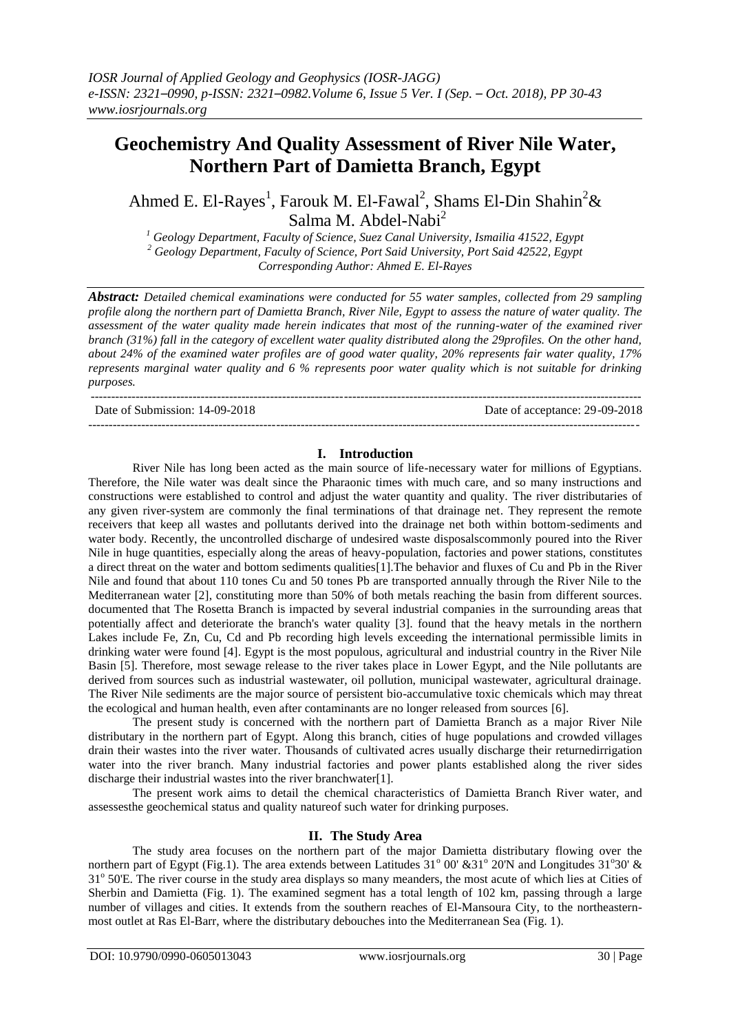# **Geochemistry And Quality Assessment of River Nile Water, Northern Part of Damietta Branch, Egypt**

Ahmed E. El-Rayes<sup>1</sup>, Farouk M. El-Fawal<sup>2</sup>, Shams El-Din Shahin<sup>2</sup>& Salma M. Abdel-Nabi<sup>2</sup>

*<sup>1</sup> Geology Department, Faculty of Science, Suez Canal University, Ismailia 41522, Egypt <sup>2</sup> Geology Department, Faculty of Science, Port Said University, Port Said 42522, Egypt Corresponding Author: Ahmed E. El-Rayes*

*Abstract: Detailed chemical examinations were conducted for 55 water samples, collected from 29 sampling profile along the northern part of Damietta Branch, River Nile, Egypt to assess the nature of water quality. The assessment of the water quality made herein indicates that most of the running-water of the examined river branch (31%) fall in the category of excellent water quality distributed along the 29profiles. On the other hand, about 24% of the examined water profiles are of good water quality, 20% represents fair water quality, 17% represents marginal water quality and 6 % represents poor water quality which is not suitable for drinking purposes.*

---------------------------------------------------------------------------------------------------------------------------------------

Date of Submission: 14-09-2018 Date of acceptance: 29-09-2018

#### **I. Introduction**

--------------------------------------------------------------------------------------------------------------------------------------*-*

River Nile has long been acted as the main source of life-necessary water for millions of Egyptians. Therefore, the Nile water was dealt since the Pharaonic times with much care, and so many instructions and constructions were established to control and adjust the water quantity and quality. The river distributaries of any given river-system are commonly the final terminations of that drainage net. They represent the remote receivers that keep all wastes and pollutants derived into the drainage net both within bottom-sediments and water body. Recently, the uncontrolled discharge of undesired waste disposalscommonly poured into the River Nile in huge quantities, especially along the areas of heavy-population, factories and power stations, constitutes a direct threat on the water and bottom sediments qualities[1].The behavior and fluxes of Cu and Pb in the River Nile and found that about 110 tones Cu and 50 tones Pb are transported annually through the River Nile to the Mediterranean water [2], constituting more than 50% of both metals reaching the basin from different sources. documented that The Rosetta Branch is impacted by several industrial companies in the surrounding areas that potentially affect and deteriorate the branch's water quality [3]. found that the heavy metals in the northern Lakes include Fe, Zn, Cu, Cd and Pb recording high levels exceeding the international permissible limits in drinking water were found [4]. Egypt is the most populous, agricultural and industrial country in the River Nile Basin [5]. Therefore, most sewage release to the river takes place in Lower Egypt, and the Nile pollutants are derived from sources such as industrial wastewater, oil pollution, municipal wastewater, agricultural drainage. The River Nile sediments are the major source of persistent bio-accumulative toxic chemicals which may threat the ecological and human health, even after contaminants are no longer released from sources [6].

The present study is concerned with the northern part of Damietta Branch as a major River Nile distributary in the northern part of Egypt. Along this branch, cities of huge populations and crowded villages drain their wastes into the river water. Thousands of cultivated acres usually discharge their returnedirrigation water into the river branch. Many industrial factories and power plants established along the river sides discharge their industrial wastes into the river branchwater[1].

The present work aims to detail the chemical characteristics of Damietta Branch River water, and assessesthe geochemical status and quality natureof such water for drinking purposes.

## **II. The Study Area**

The study area focuses on the northern part of the major Damietta distributary flowing over the northern part of Egypt (Fig.1). The area extends between Latitudes 31° 00' &31° 20'N and Longitudes 31°30' & 31° 50'E. The river course in the study area displays so many meanders, the most acute of which lies at Cities of Sherbin and Damietta (Fig. 1). The examined segment has a total length of 102 km, passing through a large number of villages and cities. It extends from the southern reaches of El-Mansoura City, to the northeasternmost outlet at Ras El-Barr, where the distributary debouches into the Mediterranean Sea (Fig. 1).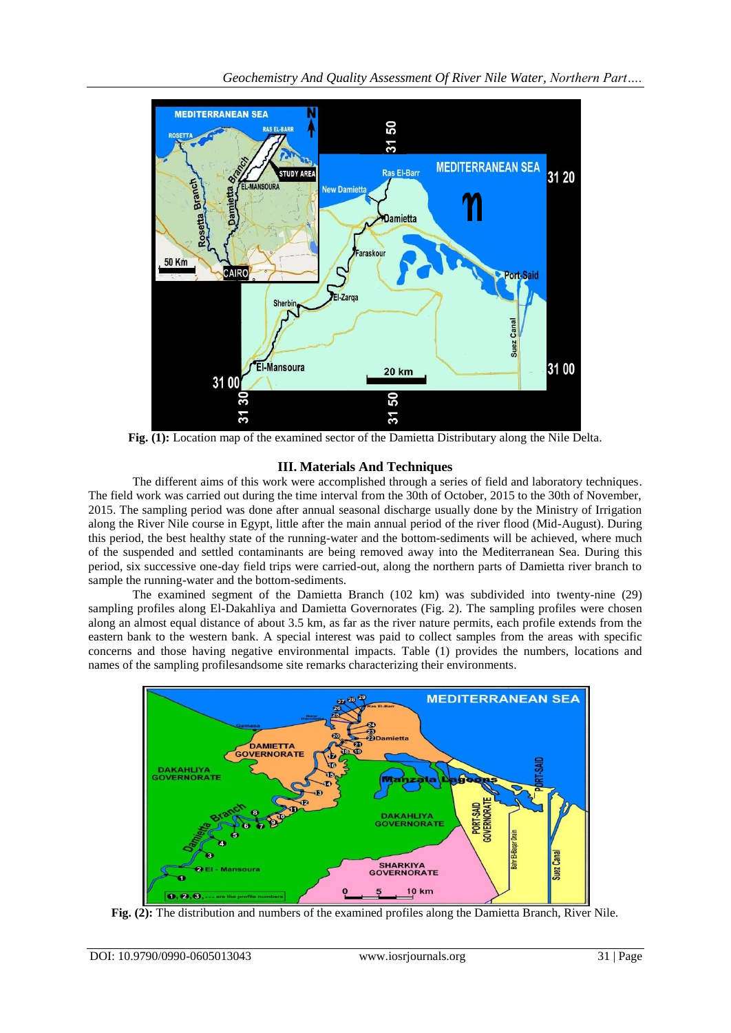

**Fig. (1):** Location map of the examined sector of the Damietta Distributary along the Nile Delta.

## **III. Materials And Techniques**

The different aims of this work were accomplished through a series of field and laboratory techniques. The field work was carried out during the time interval from the 30th of October, 2015 to the 30th of November, 2015. The sampling period was done after annual seasonal discharge usually done by the Ministry of Irrigation along the River Nile course in Egypt, little after the main annual period of the river flood (Mid-August). During this period, the best healthy state of the running-water and the bottom-sediments will be achieved, where much of the suspended and settled contaminants are being removed away into the Mediterranean Sea. During this period, six successive one-day field trips were carried-out, along the northern parts of Damietta river branch to sample the running-water and the bottom-sediments.

The examined segment of the Damietta Branch (102 km) was subdivided into twenty-nine (29) sampling profiles along El-Dakahliya and Damietta Governorates (Fig. 2). The sampling profiles were chosen along an almost equal distance of about 3.5 km, as far as the river nature permits, each profile extends from the eastern bank to the western bank. A special interest was paid to collect samples from the areas with specific concerns and those having negative environmental impacts. Table (1) provides the numbers, locations and names of the sampling profilesandsome site remarks characterizing their environments.



**Fig. (2):** The distribution and numbers of the examined profiles along the Damietta Branch, River Nile.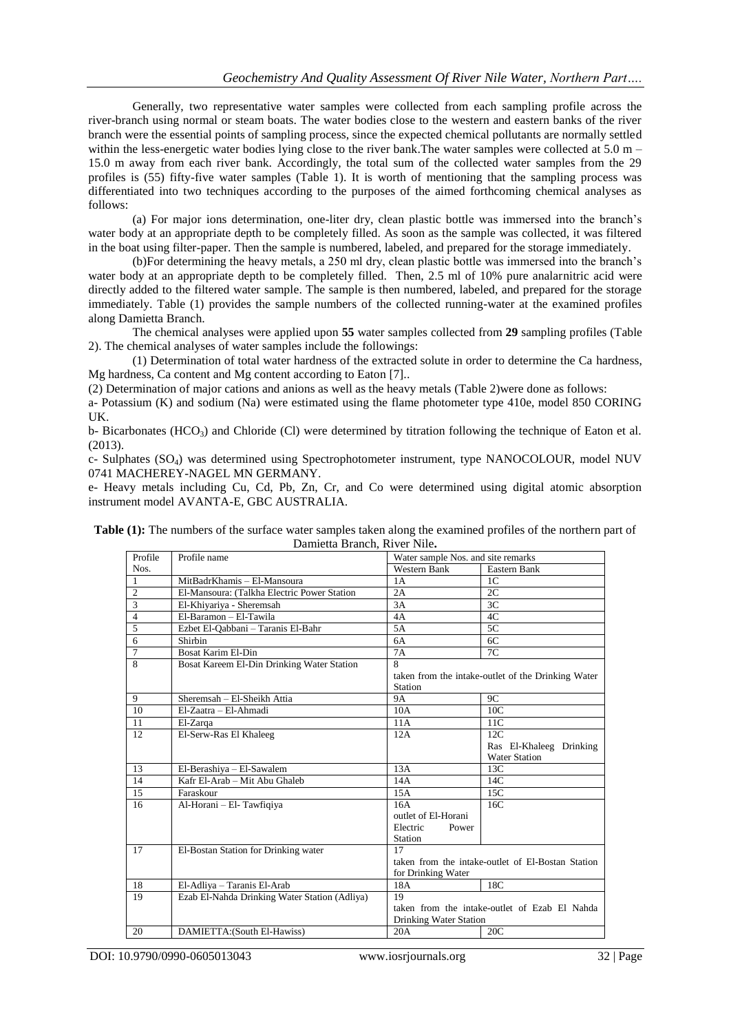Generally, two representative water samples were collected from each sampling profile across the river-branch using normal or steam boats. The water bodies close to the western and eastern banks of the river branch were the essential points of sampling process, since the expected chemical pollutants are normally settled within the less-energetic water bodies lying close to the river bank. The water samples were collected at  $5.0$  m – 15.0 m away from each river bank. Accordingly, the total sum of the collected water samples from the 29 profiles is (55) fifty-five water samples (Table 1). It is worth of mentioning that the sampling process was differentiated into two techniques according to the purposes of the aimed forthcoming chemical analyses as follows:

(a) For major ions determination, one-liter dry, clean plastic bottle was immersed into the branch's water body at an appropriate depth to be completely filled. As soon as the sample was collected, it was filtered in the boat using filter-paper. Then the sample is numbered, labeled, and prepared for the storage immediately.

(b)For determining the heavy metals, a 250 ml dry, clean plastic bottle was immersed into the branch's water body at an appropriate depth to be completely filled. Then, 2.5 ml of 10% pure analarnitric acid were directly added to the filtered water sample. The sample is then numbered, labeled, and prepared for the storage immediately. Table (1) provides the sample numbers of the collected running-water at the examined profiles along Damietta Branch.

The chemical analyses were applied upon **55** water samples collected from **29** sampling profiles (Table 2). The chemical analyses of water samples include the followings:

(1) Determination of total water hardness of the extracted solute in order to determine the Ca hardness, Mg hardness, Ca content and Mg content according to Eaton [7]..

(2) Determination of major cations and anions as well as the heavy metals (Table 2)were done as follows:

a- Potassium (K) and sodium (Na) were estimated using the flame photometer type 410e, model 850 CORING UK.

b- Bicarbonates (HCO<sub>3</sub>) and Chloride (Cl) were determined by titration following the technique of Eaton et al. (2013).

c- Sulphates (SO4) was determined using Spectrophotometer instrument, type NANOCOLOUR, model NUV 0741 MACHEREY-NAGEL MN GERMANY.

e- Heavy metals including Cu, Cd, Pb, Zn, Cr, and Co were determined using digital atomic absorption instrument model AVANTA-E, GBC AUSTRALIA.

| Profile        | Profile name                                  | Water sample Nos. and site remarks            |                                                    |  |  |
|----------------|-----------------------------------------------|-----------------------------------------------|----------------------------------------------------|--|--|
| Nos.           |                                               | Western Bank                                  | Eastern Bank                                       |  |  |
| $\mathbf{1}$   | MitBadrKhamis - El-Mansoura                   | 1A                                            | 1 <sup>C</sup>                                     |  |  |
| $\overline{2}$ | El-Mansoura: (Talkha Electric Power Station   | 2A                                            | 2C                                                 |  |  |
| $\overline{3}$ | El-Khiyariya - Sheremsah                      | 3A                                            | 3C                                                 |  |  |
| $\overline{4}$ | El-Baramon - El-Tawila                        | 4A                                            | 4C                                                 |  |  |
| $\overline{5}$ | Ezbet El-Qabbani - Taranis El-Bahr            | 5A                                            | 5C                                                 |  |  |
| $\overline{6}$ | Shirbin                                       | 6A                                            | 6C                                                 |  |  |
| $\overline{7}$ | Bosat Karim El-Din                            | 7A                                            | 7C                                                 |  |  |
| 8              | Bosat Kareem El-Din Drinking Water Station    | 8                                             |                                                    |  |  |
|                |                                               |                                               | taken from the intake-outlet of the Drinking Water |  |  |
|                |                                               | Station                                       |                                                    |  |  |
| 9              | Sheremsah - El-Sheikh Attia                   | <b>9A</b>                                     | 9C                                                 |  |  |
| 10             | El-Zaatra - El-Ahmadi                         | 10A                                           | 10C                                                |  |  |
| 11             | El-Zarqa                                      | 11A                                           | 11C                                                |  |  |
| 12             | El-Serw-Ras El Khaleeg                        | 12A                                           | 12C                                                |  |  |
|                |                                               |                                               | Ras El-Khaleeg Drinking                            |  |  |
|                |                                               |                                               | <b>Water Station</b>                               |  |  |
| 13             | El-Berashiya - El-Sawalem                     | 13A                                           | 13C                                                |  |  |
| 14             | Kafr El-Arab - Mit Abu Ghaleb                 | 14A                                           | 14C                                                |  |  |
| 15             | Faraskour                                     | 15A                                           | 15C                                                |  |  |
| 16             | Al-Horani - El- Tawfigiya                     | 16A                                           | 16C                                                |  |  |
|                |                                               | outlet of El-Horani                           |                                                    |  |  |
|                |                                               | Electric<br>Power                             |                                                    |  |  |
|                |                                               | <b>Station</b>                                |                                                    |  |  |
| 17             | El-Bostan Station for Drinking water          | 17                                            |                                                    |  |  |
|                |                                               |                                               | taken from the intake-outlet of El-Bostan Station  |  |  |
|                |                                               | for Drinking Water                            |                                                    |  |  |
| 18             | El-Adliya - Taranis El-Arab                   | 18A                                           | 18C                                                |  |  |
| 19             | Ezab El-Nahda Drinking Water Station (Adliya) | 19                                            |                                                    |  |  |
|                |                                               | taken from the intake-outlet of Ezab El Nahda |                                                    |  |  |
|                |                                               | Drinking Water Station                        |                                                    |  |  |
| 20             | DAMIETTA: (South El-Hawiss)                   | 20A                                           | 20C                                                |  |  |

**Table (1):** The numbers of the surface water samples taken along the examined profiles of the northern part of Damietta Branch, River Nile**.**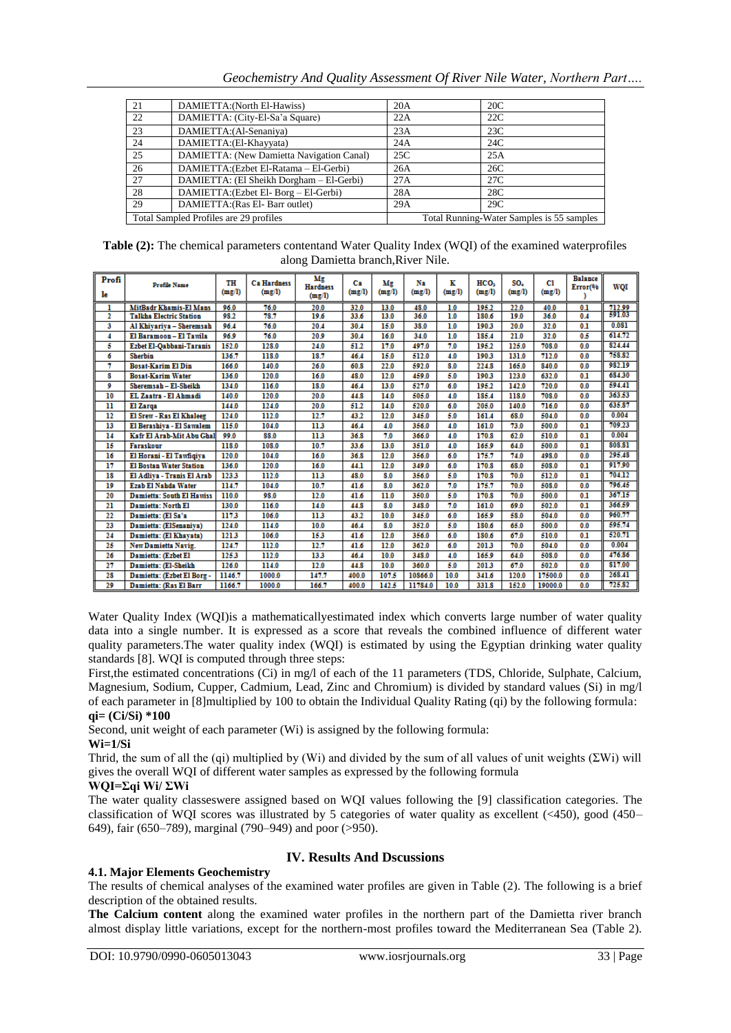*Geochemistry And Quality Assessment Of River Nile Water, Northern Part….*

| 21 | DAMIETTA: (North El-Hawiss)               | 20A | 20C                                       |
|----|-------------------------------------------|-----|-------------------------------------------|
| 22 | DAMIETTA: (City-El-Sa'a Square)           | 22A | 22C                                       |
| 23 | DAMIETTA: (Al-Senaniya)                   | 23A | 23C                                       |
| 24 | DAMIETTA: (El-Khayyata)                   | 24A | 24C                                       |
| 25 | DAMIETTA: (New Damietta Navigation Canal) | 25C | 25A                                       |
| 26 | DAMIETTA: (Ezbet El-Ratama - El-Gerbi)    | 26A | 26C                                       |
| 27 | DAMIETTA: (El Sheikh Dorgham – El-Gerbi)  | 27A | 27C                                       |
| 28 | DAMIETTA: (Ezbet El- Borg – El-Gerbi)     | 28A | 28C                                       |
| 29 | DAMIETTA: (Ras El- Barr outlet)           | 29A | 29C                                       |
|    | Total Sampled Profiles are 29 profiles    |     | Total Running-Water Samples is 55 samples |

**Table (2):** The chemical parameters contentand Water Quality Index (WQI) of the examined waterprofiles along Damietta branch,River Nile.

| Profi<br>le             | <b>Profile Name</b>              | TH<br>(mg/l) | <b>Ca Hardness</b><br>(mg/l) | Мg<br><b>Hardness</b><br>(mg/l) | Сa<br>(mg/l) | Mg<br>(mg/l) | Ns.<br>(mg/l) | к<br>(mg/l) | HCO <sub>3</sub><br>(mg/l) | SO.<br>(mg/l) | C1.<br>(mg/l) | <b>Balance</b><br>Error(% | WOI    |
|-------------------------|----------------------------------|--------------|------------------------------|---------------------------------|--------------|--------------|---------------|-------------|----------------------------|---------------|---------------|---------------------------|--------|
| ı                       | <b>MitBadr Khamis-El Mans</b>    | 96.0         | 76.0                         | 20.0                            | 32.0         | 13.0         | 48.0          | 1.0         | 195.2                      | 22.0          | 40.0          | 0.1                       | 712.99 |
| 2                       | <b>Talkha Electric Station</b>   | 98.2         | 78.7                         | 19.6                            | 33.6         | 13.0         | 36.0          | 1.0         | 180.6                      | 19.0          | 36.0          | 0.4                       | 591.03 |
| 3                       | Al Khivariya - Sheremsah         | 96.4         | 76.0                         | 20.4                            | 30.4         | 15.0         | 38.0          | 1.0         | 190.3                      | 20.0          | 32.0          | 0.1                       | 0.081  |
| 4                       | El Baramoon - El Tawila          | 96.9         | 76.0                         | 20.9                            | 30.4         | 16.0         | 34.0          | 1.0         | 185.4                      | 21.0          | 32.0          | 0.5                       | 614.72 |
| 5                       | <b>Ezbet El-Oabbani-Taranis</b>  | 152.0        | 128.0                        | 24.0                            | 51.2         | 17.0         | 497.0         | 7.0         | 195.2                      | 125.0         | 708.0         | 0.0                       | 824.44 |
| 6                       | <b>Sherbin</b>                   | 136.7        | 118.0                        | 18.7                            | 46.4         | 15.0         | 512.0         | 4.0         | 190.3                      | 131.0         | 712.0         | 0.0                       | 758.82 |
| 7                       | <b>Bosat-Karim El Din</b>        | 166.0        | 140.0                        | 26.0                            | 60.8         | 22.0         | 592.0         | 8.0         | 224.8                      | 165.0         | 840.0         | 0.0                       | 982.19 |
| 8                       | <b>Bosat-Karim Water</b>         | 136.0        | 120.0                        | 16.0                            | 48.0         | 12.0         | 459.0         | 5.0         | 190.3                      | 123.0         | 632.0         | 0.1                       | 684.30 |
| 9                       | Sheremsah - El-Sheikh            | 134.0        | 116.0                        | 18.0                            | 46.4         | 13.0         | 527.0         | 6.0         | 195.2                      | 142.0         | 720.0         | 0.0                       | 594.41 |
| 10                      | EL Zaatra - El Ahmadi            | 140.0        | 120.0                        | 20.0                            | 44.8         | 14.0         | 505.0         | 4.0         | 185.4                      | 118.0         | 708.0         | 0.0                       | 363.53 |
| $\overline{\mathbf{u}}$ | El Zarga                         | 144.0        | 124.0                        | 20.0                            | 51.2         | 14.0         | 520.0         | 6.0         | 205.0                      | 140.0         | 716.0         | 0.0                       | 635.87 |
| $\overline{12}$         | El Srew - Ras El Khaleeg         | 124.0        | 112.0                        | 12.7                            | 43.2         | 12.0         | 345.0         | 5.0         | 161.4                      | 68.0          | 504.0         | 0.0                       | 0.004  |
| 13                      | El Berashiva - El Sawalem        | 115.0        | 104.0                        | 11.3                            | 46.4         | 4.0          | 356.0         | 4.0         | 161.0                      | 73.0          | 500.0         | 0.1                       | 709.23 |
| 14                      | Kafr El Arab-Mit Abu Ghal        | 99.0         | 88.0                         | 11.3                            | 36.8         | 7.0          | 366.0         | 4.0         | 170.8                      | 62.0          | 510.0         | 0.1                       | 0.004  |
| $\overline{15}$         | Faraskour                        | 118.0        | 108.0                        | 10.7                            | 33.6         | 13.0         | 351.0         | 4.0         | 165.9                      | 64.0          | 500.0         | 0.1                       | 808.81 |
| 16                      | El Horani - El Tawfigiva         | 120.0        | 104.0                        | 16.0                            | 36.8         | 12.0         | 356.0         | 6.0         | 175.7                      | 74.0          | 498.0         | 0.0                       | 295.48 |
| 17                      | <b>El Bostan Water Station</b>   | 136.0        | 120.0                        | 16.0                            | 44.1         | 12.0         | 349.0         | 6.0         | 170.8                      | 68.0          | 508.0         | 0.1                       | 917.90 |
| 18                      | El Adliva - Tranis El Arab       | 123.3        | 112.0                        | 113                             | 48.0         | 8.0          | 356.0         | 5.0         | 170.8                      | 70.0          | 512.0         | 0.1                       | 704.12 |
| 19                      | Ezab El Nahda Water              | 114.7        | 104.0                        | 10.7                            | 41.6         | 8.0          | 362.0         | 7.0         | 175.7                      | 70.0          | 508.0         | 0.0                       | 796.45 |
| 20                      | <b>Damietta: South El Hawiss</b> | 110.0        | 98.0                         | 12.0                            | 41.6         | 11.0         | 350.0         | 5.0         | 170.8                      | 70.0          | 500.0         | 0.1                       | 367.15 |
| 21                      | <b>Damietta: North El</b>        | 130.0        | 116.0                        | 14.0                            | 44.8         | 8.0          | 348.0         | 7.0         | 161.0                      | 69.0          | 502.0         | 0.1                       | 366.59 |
| 22                      | Damietta: (El Sa'a               | 117.3        | 106.0                        | 11.3                            | 43.2         | 10.0         | 345.0         | 6.0         | 165.9                      | 58.0          | 504.0         | 0.0                       | 960.77 |
| 23                      | Damietta: (ElSenaniva)           | 124.0        | 114.0                        | 10.0                            | 46.4         | 8.0          | 352.0         | 5.0         | 180.6                      | 65.0          | 500.0         | 0.0                       | 595.74 |
| 24                      | Damietta: (El Khavata)           | 121.3        | 106.0                        | 15.3                            | 41.6         | 12.0         | 356.0         | 6.0         | 180.6                      | 67.0          | 510.0         | 0.1                       | 520.71 |
| 25                      | <b>New Damietta Navig.</b>       | 124.7        | 112.0                        | 12.7                            | 41.6         | 12.0         | 362.0         | 6.0         | 201.3                      | 70.0          | 504.0         | 0.0                       | 0.004  |
| 26                      | Damietta: (Ezbet El              | 125.3        | 112.0                        | 13.3                            | 46.4         | 10.0         | 348.0         | 4.0         | 165.9                      | 64.0          | 508.0         | 0.0                       | 476.86 |
| 27                      | Damietta: (El-Sheikh             | 126.0        | 114.0                        | 12.0                            | 44.8         | 10.0         | 360.0         | 5.0         | 201.3                      | 67.0          | 502.0         | 0.0                       | 817.00 |
| 28                      | Damietta: (Ezbet El Borg -       | 1146.7       | 1000.0                       | 147.7                           | 400.0        | 107.5        | 10866.0       | 10.0        | 341.6                      | 120.0         | 17500.0       | 0.0                       | 268.41 |
| 29                      | Damietta: (Ras El Barr           | 1166.7       | 1000.0                       | 166.7                           | 400.0        | 142.5        | 11784.0       | 10.0        | 331.8                      | 152.0         | 19000.0       | 0.0                       | 725.82 |

Water Quality Index (WQI)is a mathematicallyestimated index which converts large number of water quality data into a single number. It is expressed as a score that reveals the combined influence of different water quality parameters.The water quality index (WQI) is estimated by using the Egyptian drinking water quality standards [8]. WQI is computed through three steps:

First, the estimated concentrations (Ci) in mg/l of each of the 11 parameters (TDS, Chloride, Sulphate, Calcium, Magnesium, Sodium, Cupper, Cadmium, Lead, Zinc and Chromium) is divided by standard values (Si) in mg/l of each parameter in [8]multiplied by 100 to obtain the Individual Quality Rating (qi) by the following formula: **qi= (Ci/Si) \*100**

Second, unit weight of each parameter (Wi) is assigned by the following formula:

## **Wi=1/Si**

Thrid, the sum of all the (qi) multiplied by (Wi) and divided by the sum of all values of unit weights (ΣWi) will gives the overall WQI of different water samples as expressed by the following formula

## **WQI=Σqi Wi/ ΣWi**

The water quality classeswere assigned based on WQI values following the [9] classification categories. The classification of WQI scores was illustrated by 5 categories of water quality as excellent  $(\leq 450)$ , good (450– 649), fair (650–789), marginal (790–949) and poor (>950).

# **IV. Results And Dscussions**

## **4.1. Major Elements Geochemistry**

The results of chemical analyses of the examined water profiles are given in Table (2). The following is a brief description of the obtained results.

**The Calcium content** along the examined water profiles in the northern part of the Damietta river branch almost display little variations, except for the northern-most profiles toward the Mediterranean Sea (Table 2).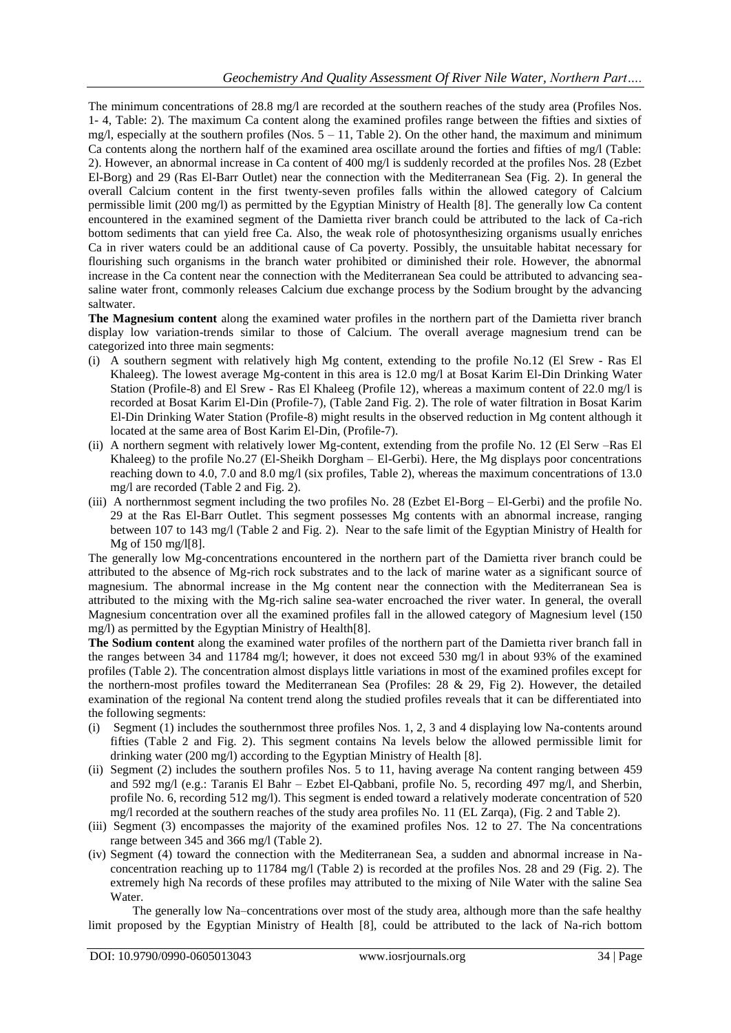The minimum concentrations of 28.8 mg/l are recorded at the southern reaches of the study area (Profiles Nos. 1- 4, Table: 2). The maximum Ca content along the examined profiles range between the fifties and sixties of mg/l, especially at the southern profiles (Nos.  $5 - 11$ , Table 2). On the other hand, the maximum and minimum Ca contents along the northern half of the examined area oscillate around the forties and fifties of mg/l (Table: 2). However, an abnormal increase in Ca content of 400 mg/l is suddenly recorded at the profiles Nos. 28 (Ezbet El-Borg) and 29 (Ras El-Barr Outlet) near the connection with the Mediterranean Sea (Fig. 2). In general the overall Calcium content in the first twenty-seven profiles falls within the allowed category of Calcium permissible limit (200 mg/l) as permitted by the Egyptian Ministry of Health [8]. The generally low Ca content encountered in the examined segment of the Damietta river branch could be attributed to the lack of Ca-rich bottom sediments that can yield free Ca. Also, the weak role of photosynthesizing organisms usually enriches Ca in river waters could be an additional cause of Ca poverty. Possibly, the unsuitable habitat necessary for flourishing such organisms in the branch water prohibited or diminished their role. However, the abnormal increase in the Ca content near the connection with the Mediterranean Sea could be attributed to advancing seasaline water front, commonly releases Calcium due exchange process by the Sodium brought by the advancing saltwater.

**The Magnesium content** along the examined water profiles in the northern part of the Damietta river branch display low variation-trends similar to those of Calcium. The overall average magnesium trend can be categorized into three main segments:

- (i) A southern segment with relatively high Mg content, extending to the profile No.12 (El Srew Ras El Khaleeg). The lowest average Mg-content in this area is 12.0 mg/l at Bosat Karim El-Din Drinking Water Station (Profile-8) and El Srew - Ras El Khaleeg (Profile 12), whereas a maximum content of 22.0 mg/l is recorded at Bosat Karim El-Din (Profile-7), (Table 2and Fig. 2). The role of water filtration in Bosat Karim El-Din Drinking Water Station (Profile-8) might results in the observed reduction in Mg content although it located at the same area of Bost Karim El-Din, (Profile-7).
- (ii) A northern segment with relatively lower Mg-content, extending from the profile No. 12 (El Serw –Ras El Khaleeg) to the profile No.27 (El-Sheikh Dorgham – El-Gerbi). Here, the Mg displays poor concentrations reaching down to 4.0, 7.0 and 8.0 mg/l (six profiles, Table 2), whereas the maximum concentrations of 13.0 mg/l are recorded (Table 2 and Fig. 2).
- (iii) A northernmost segment including the two profiles No. 28 (Ezbet El-Borg El-Gerbi) and the profile No. 29 at the Ras El-Barr Outlet. This segment possesses Mg contents with an abnormal increase, ranging between 107 to 143 mg/l (Table 2 and Fig. 2). Near to the safe limit of the Egyptian Ministry of Health for Mg of 150 mg/l[8].

The generally low Mg-concentrations encountered in the northern part of the Damietta river branch could be attributed to the absence of Mg-rich rock substrates and to the lack of marine water as a significant source of magnesium. The abnormal increase in the Mg content near the connection with the Mediterranean Sea is attributed to the mixing with the Mg-rich saline sea-water encroached the river water. In general, the overall Magnesium concentration over all the examined profiles fall in the allowed category of Magnesium level (150 mg/l) as permitted by the Egyptian Ministry of Health[8].

**The Sodium content** along the examined water profiles of the northern part of the Damietta river branch fall in the ranges between 34 and 11784 mg/l; however, it does not exceed 530 mg/l in about 93% of the examined profiles (Table 2). The concentration almost displays little variations in most of the examined profiles except for the northern-most profiles toward the Mediterranean Sea (Profiles: 28 & 29, Fig 2). However, the detailed examination of the regional Na content trend along the studied profiles reveals that it can be differentiated into the following segments:

- (i) Segment (1) includes the southernmost three profiles Nos. 1, 2, 3 and 4 displaying low Na-contents around fifties (Table 2 and Fig. 2). This segment contains Na levels below the allowed permissible limit for drinking water (200 mg/l) according to the Egyptian Ministry of Health [8].
- (ii) Segment (2) includes the southern profiles Nos. 5 to 11, having average Na content ranging between 459 and 592 mg/l (e.g.: Taranis El Bahr – Ezbet El-Qabbani, profile No. 5, recording 497 mg/l, and Sherbin, profile No. 6, recording 512 mg/l). This segment is ended toward a relatively moderate concentration of 520 mg/l recorded at the southern reaches of the study area profiles No. 11 (EL Zarqa), (Fig. 2 and Table 2).
- (iii) Segment (3) encompasses the majority of the examined profiles Nos. 12 to 27. The Na concentrations range between 345 and 366 mg/l (Table 2).
- (iv) Segment (4) toward the connection with the Mediterranean Sea, a sudden and abnormal increase in Naconcentration reaching up to 11784 mg/l (Table 2) is recorded at the profiles Nos. 28 and 29 (Fig. 2). The extremely high Na records of these profiles may attributed to the mixing of Nile Water with the saline Sea Water.

The generally low Na–concentrations over most of the study area, although more than the safe healthy limit proposed by the Egyptian Ministry of Health [8], could be attributed to the lack of Na-rich bottom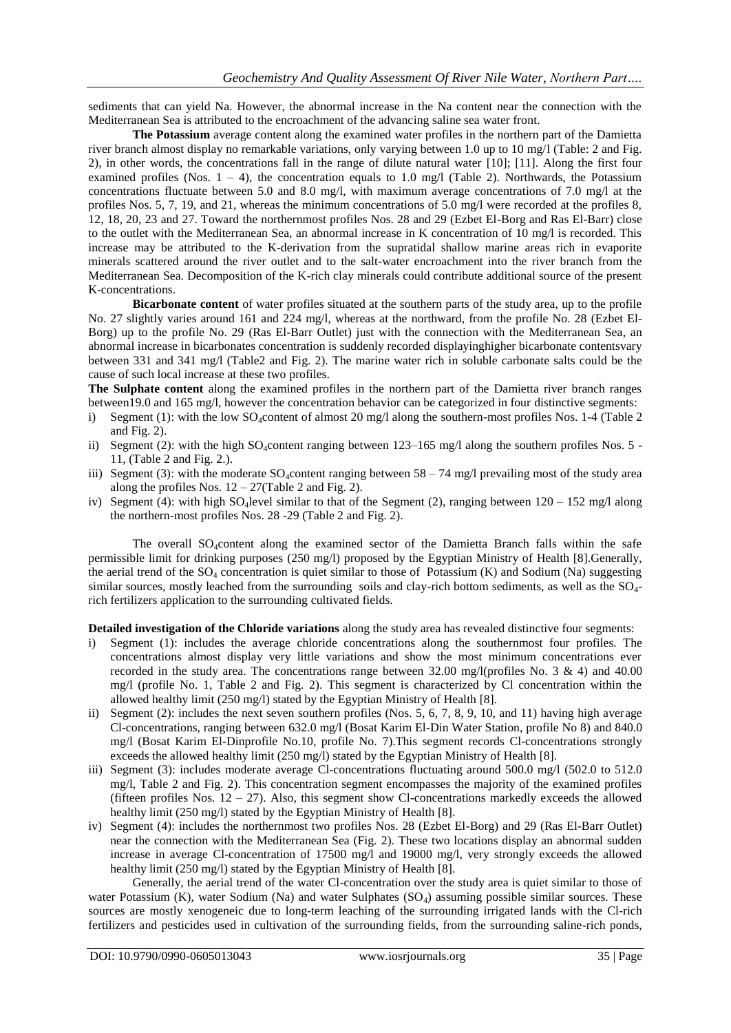sediments that can yield Na. However, the abnormal increase in the Na content near the connection with the Mediterranean Sea is attributed to the encroachment of the advancing saline sea water front.

**The Potassium** average content along the examined water profiles in the northern part of the Damietta river branch almost display no remarkable variations, only varying between 1.0 up to 10 mg/l (Table: 2 and Fig. 2), in other words, the concentrations fall in the range of dilute natural water [10]; [11]. Along the first four examined profiles (Nos.  $1 - 4$ ), the concentration equals to 1.0 mg/l (Table 2). Northwards, the Potassium concentrations fluctuate between 5.0 and 8.0 mg/l, with maximum average concentrations of 7.0 mg/l at the profiles Nos. 5, 7, 19, and 21, whereas the minimum concentrations of 5.0 mg/l were recorded at the profiles 8, 12, 18, 20, 23 and 27. Toward the northernmost profiles Nos. 28 and 29 (Ezbet El-Borg and Ras El-Barr) close to the outlet with the Mediterranean Sea, an abnormal increase in K concentration of 10 mg/l is recorded. This increase may be attributed to the K-derivation from the supratidal shallow marine areas rich in evaporite minerals scattered around the river outlet and to the salt-water encroachment into the river branch from the Mediterranean Sea. Decomposition of the K-rich clay minerals could contribute additional source of the present K-concentrations.

**Bicarbonate content** of water profiles situated at the southern parts of the study area, up to the profile No. 27 slightly varies around 161 and 224 mg/l, whereas at the northward, from the profile No. 28 (Ezbet El-Borg) up to the profile No. 29 (Ras El-Barr Outlet) just with the connection with the Mediterranean Sea, an abnormal increase in bicarbonates concentration is suddenly recorded displayinghigher bicarbonate contentsvary between 331 and 341 mg/l (Table2 and Fig. 2). The marine water rich in soluble carbonate salts could be the cause of such local increase at these two profiles.

**The Sulphate content** along the examined profiles in the northern part of the Damietta river branch ranges between19.0 and 165 mg/l, however the concentration behavior can be categorized in four distinctive segments:

- i) Segment (1): with the low SO<sub>4</sub>content of almost 20 mg/l along the southern-most profiles Nos. 1-4 (Table 2) and Fig. 2).
- ii) Segment (2): with the high SO<sub>4</sub>content ranging between  $123-165$  mg/l along the southern profiles Nos. 5 -11, (Table 2 and Fig. 2.).
- iii) Segment (3): with the moderate  $SO_4$  content ranging between  $58 74$  mg/l prevailing most of the study area along the profiles Nos.  $12 - 27$ (Table 2 and Fig. 2).
- iv) Segment (4): with high SO<sub>4</sub>level similar to that of the Segment (2), ranging between  $120 152$  mg/l along the northern-most profiles Nos. 28 -29 (Table 2 and Fig. 2).

The overall  $SO_4$  content along the examined sector of the Damietta Branch falls within the safe permissible limit for drinking purposes (250 mg/l) proposed by the Egyptian Ministry of Health [8].Generally, the aerial trend of the  $SO_4$  concentration is quiet similar to those of Potassium (K) and Sodium (Na) suggesting similar sources, mostly leached from the surrounding soils and clay-rich bottom sediments, as well as the SO4 rich fertilizers application to the surrounding cultivated fields.

**Detailed investigation of the Chloride variations** along the study area has revealed distinctive four segments:

- i) Segment (1): includes the average chloride concentrations along the southernmost four profiles. The concentrations almost display very little variations and show the most minimum concentrations ever recorded in the study area. The concentrations range between 32.00 mg/l(profiles No. 3  $\&$  4) and 40.00 mg/l (profile No. 1, Table 2 and Fig. 2). This segment is characterized by Cl concentration within the allowed healthy limit (250 mg/l) stated by the Egyptian Ministry of Health [8].
- ii) Segment (2): includes the next seven southern profiles (Nos. 5, 6, 7, 8, 9, 10, and 11) having high average Cl-concentrations, ranging between 632.0 mg/l (Bosat Karim El-Din Water Station, profile No 8) and 840.0 mg/l (Bosat Karim El-Dinprofile No.10, profile No. 7).This segment records Cl-concentrations strongly exceeds the allowed healthy limit (250 mg/l) stated by the Egyptian Ministry of Health [8].
- iii) Segment (3): includes moderate average Cl-concentrations fluctuating around 500.0 mg/l (502.0 to 512.0 mg/l, Table 2 and Fig. 2). This concentration segment encompasses the majority of the examined profiles (fifteen profiles Nos.  $12 - 27$ ). Also, this segment show Cl-concentrations markedly exceeds the allowed healthy limit (250 mg/l) stated by the Egyptian Ministry of Health [8].
- iv) Segment (4): includes the northernmost two profiles Nos. 28 (Ezbet El-Borg) and 29 (Ras El-Barr Outlet) near the connection with the Mediterranean Sea (Fig. 2). These two locations display an abnormal sudden increase in average Cl-concentration of 17500 mg/l and 19000 mg/l, very strongly exceeds the allowed healthy limit (250 mg/l) stated by the Egyptian Ministry of Health [8].

Generally, the aerial trend of the water Cl-concentration over the study area is quiet similar to those of water Potassium (K), water Sodium (Na) and water Sulphates (SO<sub>4</sub>) assuming possible similar sources. These sources are mostly xenogeneic due to long-term leaching of the surrounding irrigated lands with the Cl-rich fertilizers and pesticides used in cultivation of the surrounding fields, from the surrounding saline-rich ponds,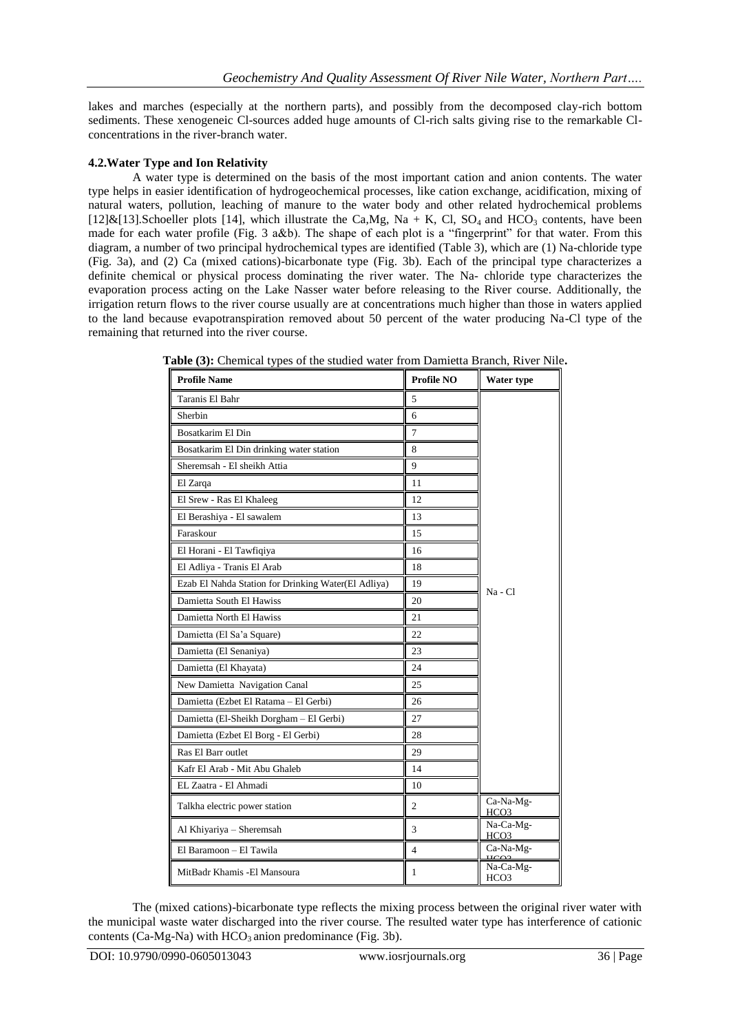lakes and marches (especially at the northern parts), and possibly from the decomposed clay-rich bottom sediments. These xenogeneic Cl-sources added huge amounts of Cl-rich salts giving rise to the remarkable Clconcentrations in the river-branch water.

## **4.2.Water Type and Ion Relativity**

A water type is determined on the basis of the most important cation and anion contents. The water type helps in easier identification of hydrogeochemical processes, like cation exchange, acidification, mixing of natural waters, pollution, leaching of manure to the water body and other related hydrochemical problems [12]&[13].Schoeller plots [14], which illustrate the Ca,Mg, Na + K, Cl, SO<sub>4</sub> and HCO<sub>3</sub> contents, have been made for each water profile (Fig. 3 a&b). The shape of each plot is a "fingerprint" for that water. From this diagram, a number of two principal hydrochemical types are identified (Table 3), which are (1) Na-chloride type (Fig. 3a), and (2) Ca (mixed cations)-bicarbonate type (Fig. 3b). Each of the principal type characterizes a definite chemical or physical process dominating the river water. The Na- chloride type characterizes the evaporation process acting on the Lake Nasser water before releasing to the River course. Additionally, the irrigation return flows to the river course usually are at concentrations much higher than those in waters applied to the land because evapotranspiration removed about 50 percent of the water producing Na-Cl type of the remaining that returned into the river course.

| <b>Profile Name</b>                                 | <b>Profile NO</b> | Water type                    |
|-----------------------------------------------------|-------------------|-------------------------------|
| Taranis El Bahr                                     | 5                 |                               |
| Sherbin                                             | 6                 |                               |
| Bosatkarim El Din                                   | 7                 |                               |
| Bosatkarim El Din drinking water station            | 8                 |                               |
| Sheremsah - El sheikh Attia                         | 9                 |                               |
| El Zarqa                                            | 11                |                               |
| El Srew - Ras El Khaleeg                            | 12                |                               |
| El Berashiya - El sawalem                           | 13                |                               |
| Faraskour                                           | 15                |                               |
| El Horani - El Tawfiqiya                            | 16                |                               |
| El Adliya - Tranis El Arab                          | 18                |                               |
| Ezab El Nahda Station for Drinking Water(El Adliya) | 19                | Na - Cl                       |
| Damietta South El Hawiss                            | 20                |                               |
| Damietta North El Hawiss                            | 21                |                               |
| Damietta (El Sa'a Square)                           | 22                |                               |
| Damietta (El Senaniya)                              | 23                |                               |
| Damietta (El Khayata)                               | 24                |                               |
| New Damietta Navigation Canal                       | 25                |                               |
| Damietta (Ezbet El Ratama - El Gerbi)               | 26                |                               |
| Damietta (El-Sheikh Dorgham - El Gerbi)             | 27                |                               |
| Damietta (Ezbet El Borg - El Gerbi)                 | 28                |                               |
| Ras El Barr outlet                                  | 29                |                               |
| Kafr El Arab - Mit Abu Ghaleb                       | 14                |                               |
| EL Zaatra - El Ahmadi                               | 10                |                               |
| Talkha electric power station                       | $\mathfrak{2}$    | Ca-Na-Mg-<br><u>HCO3</u>      |
| Al Khiyariya - Sheremsah                            | 3                 | Na-Ca-Mg-<br>HCO3             |
| El Baramoon - El Tawila                             | $\overline{4}$    | Ca-Na-Mg-                     |
| MitBadr Khamis -El Mansoura                         | 1                 | Na-Ca-Mg-<br>HCO <sub>3</sub> |

**Table (3):** Chemical types of the studied water from Damietta Branch, River Nile**.**

The (mixed cations)-bicarbonate type reflects the mixing process between the original river water with the municipal waste water discharged into the river course. The resulted water type has interference of cationic contents (Ca-Mg-Na) with  $HCO_3$  anion predominance (Fig. 3b).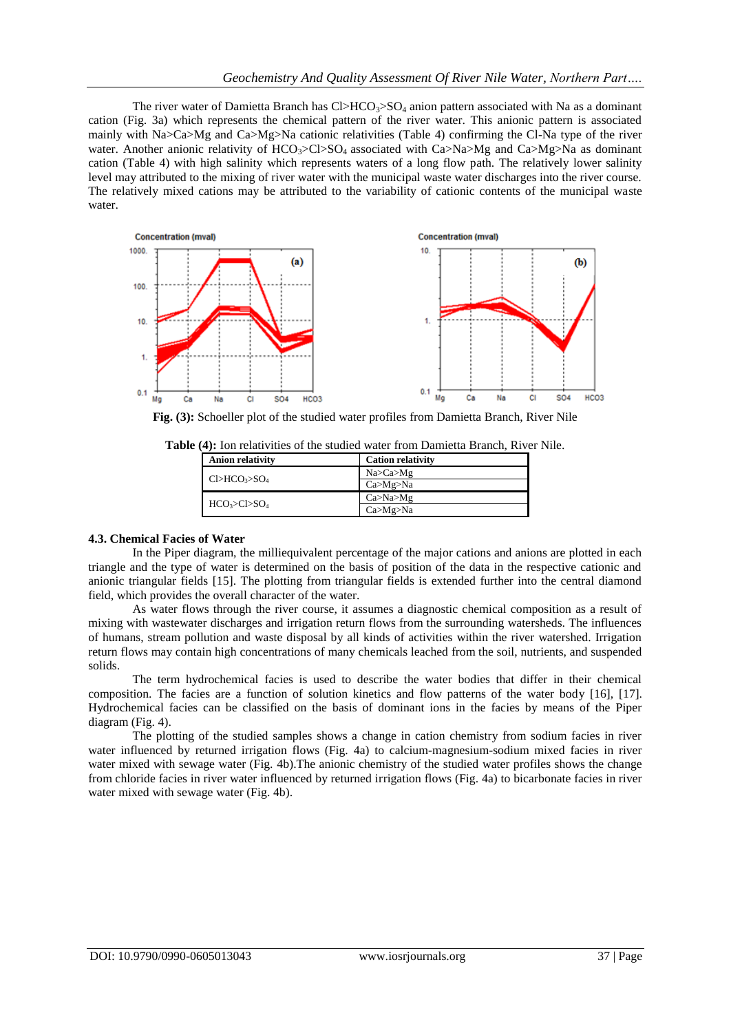The river water of Damietta Branch has  $Cl > HCO<sub>3</sub> > SO<sub>4</sub>$  anion pattern associated with Na as a dominant cation (Fig. 3a) which represents the chemical pattern of the river water. This anionic pattern is associated mainly with Na>Ca>Mg and Ca>Mg>Na cationic relativities (Table 4) confirming the Cl-Na type of the river water. Another anionic relativity of  $HCO_3 > C > SO_4$  associated with Ca $>$ Na $>$ Mg and Ca $>$ Mg $>$ Na as dominant cation (Table 4) with high salinity which represents waters of a long flow path. The relatively lower salinity level may attributed to the mixing of river water with the municipal waste water discharges into the river course. The relatively mixed cations may be attributed to the variability of cationic contents of the municipal waste water.



**Fig. (3):** Schoeller plot of the studied water profiles from Damietta Branch, River Nile

| $\ldots$ . The commutative of the statical water from Dannetta Diament for |                          |  |  |  |  |  |
|----------------------------------------------------------------------------|--------------------------|--|--|--|--|--|
| <b>Anion relativity</b>                                                    | <b>Cation relativity</b> |  |  |  |  |  |
| Cl > HCO <sub>3</sub> > SO <sub>4</sub>                                    | Na > Ca > Mg             |  |  |  |  |  |
|                                                                            | Ca>Mg>Ma                 |  |  |  |  |  |
|                                                                            | Ca > Na > Mg             |  |  |  |  |  |
| HCO <sub>3</sub> >Cl>SO <sub>4</sub>                                       | Ca>Mg>Na                 |  |  |  |  |  |
|                                                                            |                          |  |  |  |  |  |

**Table (4):** Ion relativities of the studied water from Damietta Branch, River Nile.

## **4.3. Chemical Facies of Water**

In the Piper diagram, the milliequivalent percentage of the major cations and anions are plotted in each triangle and the type of water is determined on the basis of position of the data in the respective cationic and anionic triangular fields [15]. The plotting from triangular fields is extended further into the central diamond field, which provides the overall character of the water.

As water flows through the river course, it assumes a diagnostic chemical composition as a result of mixing with wastewater discharges and irrigation return flows from the surrounding watersheds. The influences of humans, stream pollution and waste disposal by all kinds of activities within the river watershed. Irrigation return flows may contain high concentrations of many chemicals leached from the soil, nutrients, and suspended solids.

The term hydrochemical facies is used to describe the water bodies that differ in their chemical composition. The facies are a function of solution kinetics and flow patterns of the water body [16], [17]. Hydrochemical facies can be classified on the basis of dominant ions in the facies by means of the Piper diagram (Fig. 4).

The plotting of the studied samples shows a change in cation chemistry from sodium facies in river water influenced by returned irrigation flows (Fig. 4a) to calcium-magnesium-sodium mixed facies in river water mixed with sewage water (Fig. 4b).The anionic chemistry of the studied water profiles shows the change from chloride facies in river water influenced by returned irrigation flows (Fig. 4a) to bicarbonate facies in river water mixed with sewage water (Fig. 4b).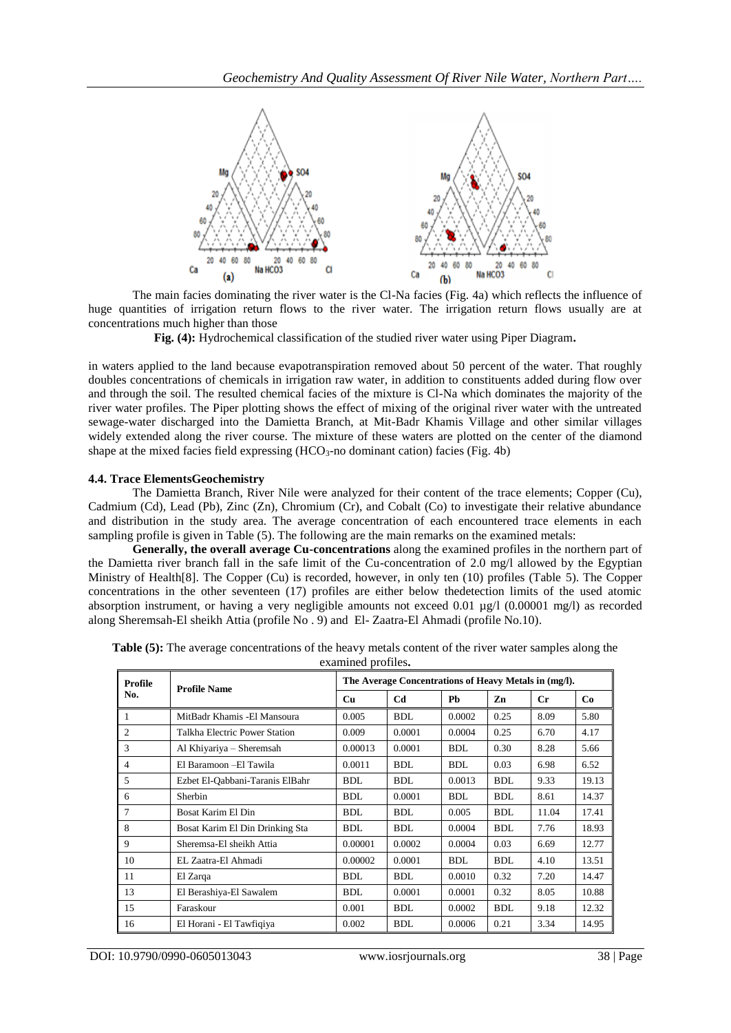

The main facies dominating the river water is the Cl-Na facies (Fig. 4a) which reflects the influence of huge quantities of irrigation return flows to the river water. The irrigation return flows usually are at concentrations much higher than those

**Fig. (4):** Hydrochemical classification of the studied river water using Piper Diagram**.**

in waters applied to the land because evapotranspiration removed about 50 percent of the water. That roughly doubles concentrations of chemicals in irrigation raw water, in addition to constituents added during flow over and through the soil. The resulted chemical facies of the mixture is Cl-Na which dominates the majority of the river water profiles. The Piper plotting shows the effect of mixing of the original river water with the untreated sewage-water discharged into the Damietta Branch, at Mit-Badr Khamis Village and other similar villages widely extended along the river course. The mixture of these waters are plotted on the center of the diamond shape at the mixed facies field expressing  $(HCO_3$ -no dominant cation) facies (Fig. 4b)

#### **4.4. Trace ElementsGeochemistry**

The Damietta Branch, River Nile were analyzed for their content of the trace elements; Copper (Cu), Cadmium (Cd), Lead (Pb), Zinc (Zn), Chromium (Cr), and Cobalt (Co) to investigate their relative abundance and distribution in the study area. The average concentration of each encountered trace elements in each sampling profile is given in Table (5). The following are the main remarks on the examined metals:

**Generally, the overall average Cu-concentrations** along the examined profiles in the northern part of the Damietta river branch fall in the safe limit of the Cu-concentration of 2.0 mg/l allowed by the Egyptian Ministry of Health[8]. The Copper (Cu) is recorded, however, in only ten (10) profiles (Table 5). The Copper concentrations in the other seventeen (17) profiles are either below thedetection limits of the used atomic absorption instrument, or having a very negligible amounts not exceed 0.01 µg/l (0.00001 mg/l) as recorded along Sheremsah-El sheikh Attia (profile No . 9) and El- Zaatra-El Ahmadi (profile No.10).

| Profile        | <b>Profile Name</b>             | The Average Concentrations of Heavy Metals in (mg/l). |                |            |            |             |       |  |
|----------------|---------------------------------|-------------------------------------------------------|----------------|------------|------------|-------------|-------|--|
| No.            |                                 | Cu                                                    | C <sub>d</sub> | <b>Ph</b>  | Zn         | $_{\rm Cr}$ | Co    |  |
| 1              | MitBadr Khamis - El Mansoura    | 0.005                                                 | <b>BDL</b>     | 0.0002     | 0.25       | 8.09        | 5.80  |  |
| $\overline{2}$ | Talkha Electric Power Station   | 0.009                                                 | 0.0001         | 0.0004     | 0.25       | 6.70        | 4.17  |  |
| 3              | Al Khiyariya – Sheremsah        | 0.00013                                               | 0.0001         | <b>BDL</b> | 0.30       | 8.28        | 5.66  |  |
| 4              | El Baramoon - El Tawila         | 0.0011                                                | <b>BDL</b>     | <b>BDL</b> | 0.03       | 6.98        | 6.52  |  |
| 5              | Ezbet El-Qabbani-Taranis ElBahr | <b>BDL</b>                                            | <b>BDL</b>     | 0.0013     | <b>BDL</b> | 9.33        | 19.13 |  |
| 6              | Sherbin                         | <b>BDL</b>                                            | 0.0001         | <b>BDL</b> | <b>BDL</b> | 8.61        | 14.37 |  |
| 7              | Bosat Karim El Din              | <b>BDL</b>                                            | <b>BDL</b>     | 0.005      | <b>BDL</b> | 11.04       | 17.41 |  |
| 8              | Bosat Karim El Din Drinking Sta | <b>BDL</b>                                            | <b>BDL</b>     | 0.0004     | <b>BDL</b> | 7.76        | 18.93 |  |
| 9              | Sheremsa-El sheikh Attia        | 0.00001                                               | 0.0002         | 0.0004     | 0.03       | 6.69        | 12.77 |  |
| 10             | EL Zaatra-El Ahmadi             | 0.00002                                               | 0.0001         | <b>BDL</b> | <b>BDL</b> | 4.10        | 13.51 |  |
| 11             | El Zarga                        | <b>BDL</b>                                            | <b>BDL</b>     | 0.0010     | 0.32       | 7.20        | 14.47 |  |
| 13             | El Berashiya-El Sawalem         | <b>BDL</b>                                            | 0.0001         | 0.0001     | 0.32       | 8.05        | 10.88 |  |
| 15             | Faraskour                       | 0.001                                                 | <b>BDL</b>     | 0.0002     | <b>BDL</b> | 9.18        | 12.32 |  |
| 16             | El Horani - El Tawfigiya        | 0.002                                                 | <b>BDL</b>     | 0.0006     | 0.21       | 3.34        | 14.95 |  |

**Table (5):** The average concentrations of the heavy metals content of the river water samples along the examined profiles**.**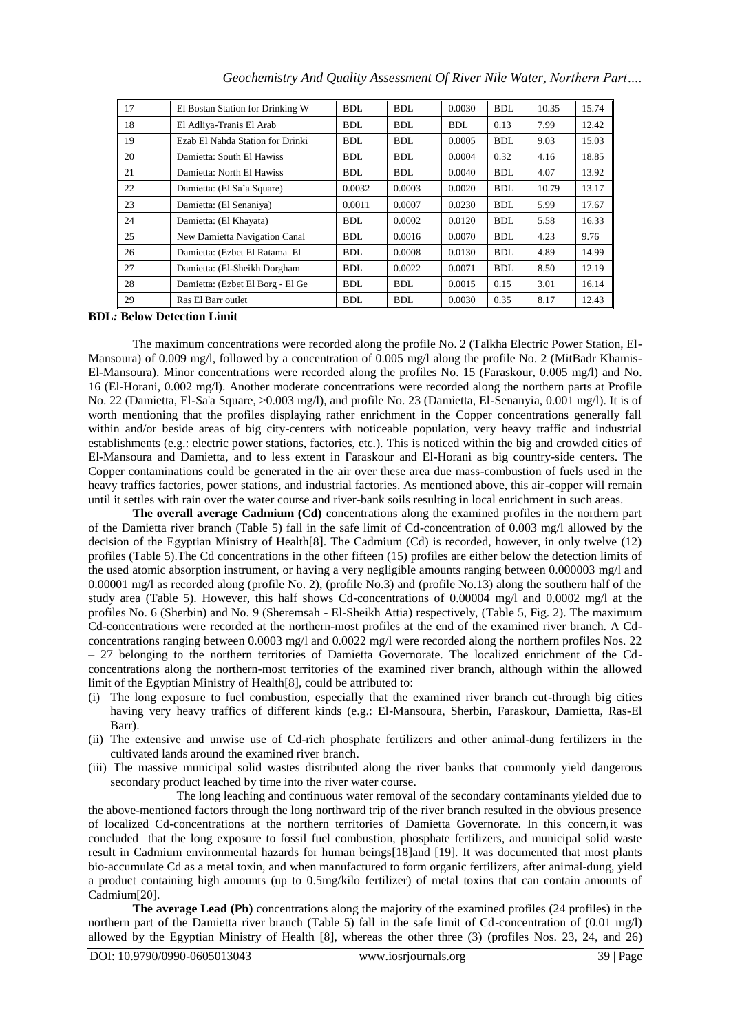| 17 | El Bostan Station for Drinking W | <b>BDL</b> | <b>BDL</b> | 0.0030     | <b>BDL</b> | 10.35 | 15.74 |
|----|----------------------------------|------------|------------|------------|------------|-------|-------|
| 18 | El Adliya-Tranis El Arab         | <b>BDL</b> | <b>BDL</b> | <b>BDL</b> | 0.13       | 7.99  | 12.42 |
| 19 | Ezab El Nahda Station for Drinki | <b>BDL</b> | <b>BDL</b> | 0.0005     | <b>BDL</b> | 9.03  | 15.03 |
| 20 | Damietta: South El Hawiss        | BDL.       | BDL        | 0.0004     | 0.32       | 4.16  | 18.85 |
| 21 | Damietta: North El Hawiss        | <b>BDL</b> | <b>BDL</b> | 0.0040     | <b>BDL</b> | 4.07  | 13.92 |
| 22 | Damietta: (El Sa'a Square)       | 0.0032     | 0.0003     | 0.0020     | <b>BDL</b> | 10.79 | 13.17 |
| 23 | Damietta: (El Senaniya)          | 0.0011     | 0.0007     | 0.0230     | <b>BDL</b> | 5.99  | 17.67 |
| 24 | Damietta: (El Khayata)           | <b>BDL</b> | 0.0002     | 0.0120     | <b>BDL</b> | 5.58  | 16.33 |
| 25 | New Damietta Navigation Canal    | BDL        | 0.0016     | 0.0070     | <b>BDL</b> | 4.23  | 9.76  |
| 26 | Damietta: (Ezbet El Ratama-El    | <b>BDL</b> | 0.0008     | 0.0130     | <b>BDL</b> | 4.89  | 14.99 |
| 27 | Damietta: (El-Sheikh Dorgham -   | BDL.       | 0.0022     | 0.0071     | <b>BDL</b> | 8.50  | 12.19 |
| 28 | Damietta: (Ezbet El Borg - El Ge | <b>BDL</b> | <b>BDL</b> | 0.0015     | 0.15       | 3.01  | 16.14 |
| 29 | Ras El Barr outlet               | <b>BDL</b> | <b>BDL</b> | 0.0030     | 0.35       | 8.17  | 12.43 |

*Geochemistry And Quality Assessment Of River Nile Water, Northern Part….*

**BDL***:* **Below Detection Limit**

The maximum concentrations were recorded along the profile No. 2 (Talkha Electric Power Station, El-Mansoura) of 0.009 mg/l, followed by a concentration of 0.005 mg/l along the profile No. 2 (MitBadr Khamis-El-Mansoura). Minor concentrations were recorded along the profiles No. 15 (Faraskour, 0.005 mg/l) and No. 16 (El-Horani, 0.002 mg/l). Another moderate concentrations were recorded along the northern parts at Profile No. 22 (Damietta, El-Sa'a Square, >0.003 mg/l), and profile No. 23 (Damietta, El-Senanyia, 0.001 mg/l). It is of worth mentioning that the profiles displaying rather enrichment in the Copper concentrations generally fall within and/or beside areas of big city-centers with noticeable population, very heavy traffic and industrial establishments (e.g.: electric power stations, factories, etc.). This is noticed within the big and crowded cities of El-Mansoura and Damietta, and to less extent in Faraskour and El-Horani as big country-side centers. The Copper contaminations could be generated in the air over these area due mass-combustion of fuels used in the heavy traffics factories, power stations, and industrial factories. As mentioned above, this air-copper will remain until it settles with rain over the water course and river-bank soils resulting in local enrichment in such areas.

**The overall average Cadmium (Cd)** concentrations along the examined profiles in the northern part of the Damietta river branch (Table 5) fall in the safe limit of Cd-concentration of 0.003 mg/l allowed by the decision of the Egyptian Ministry of Health[8]. The Cadmium (Cd) is recorded, however, in only twelve (12) profiles (Table 5).The Cd concentrations in the other fifteen (15) profiles are either below the detection limits of the used atomic absorption instrument, or having a very negligible amounts ranging between 0.000003 mg/l and 0.00001 mg/l as recorded along (profile No. 2), (profile No.3) and (profile No.13) along the southern half of the study area (Table 5). However, this half shows Cd-concentrations of 0.00004 mg/l and 0.0002 mg/l at the profiles No. 6 (Sherbin) and No. 9 (Sheremsah - El-Sheikh Attia) respectively, (Table 5, Fig. 2). The maximum Cd-concentrations were recorded at the northern-most profiles at the end of the examined river branch. A Cdconcentrations ranging between 0.0003 mg/l and 0.0022 mg/l were recorded along the northern profiles Nos. 22 – 27 belonging to the northern territories of Damietta Governorate. The localized enrichment of the Cdconcentrations along the northern-most territories of the examined river branch, although within the allowed limit of the Egyptian Ministry of Health[8], could be attributed to:

- (i) The long exposure to fuel combustion, especially that the examined river branch cut-through big cities having very heavy traffics of different kinds (e.g.: El-Mansoura, Sherbin, Faraskour, Damietta, Ras-El Barr).
- (ii) The extensive and unwise use of Cd-rich phosphate fertilizers and other animal-dung fertilizers in the cultivated lands around the examined river branch.
- (iii) The massive municipal solid wastes distributed along the river banks that commonly yield dangerous secondary product leached by time into the river water course.

The long leaching and continuous water removal of the secondary contaminants yielded due to the above-mentioned factors through the long northward trip of the river branch resulted in the obvious presence of localized Cd-concentrations at the northern territories of Damietta Governorate. In this concern,it was concluded that the long exposure to fossil fuel combustion, phosphate fertilizers, and municipal solid waste result in Cadmium environmental hazards for human beings[18]and [19]. It was documented that most plants bio-accumulate Cd as a metal toxin, and when manufactured to form organic fertilizers, after animal-dung, yield a product containing high amounts (up to 0.5mg/kilo fertilizer) of metal toxins that can contain amounts of Cadmium[20].

**The average Lead (Pb)** concentrations along the majority of the examined profiles (24 profiles) in the northern part of the Damietta river branch (Table 5) fall in the safe limit of Cd-concentration of  $(0.01 \text{ mg/l})$ allowed by the Egyptian Ministry of Health [8], whereas the other three (3) (profiles Nos. 23, 24, and 26)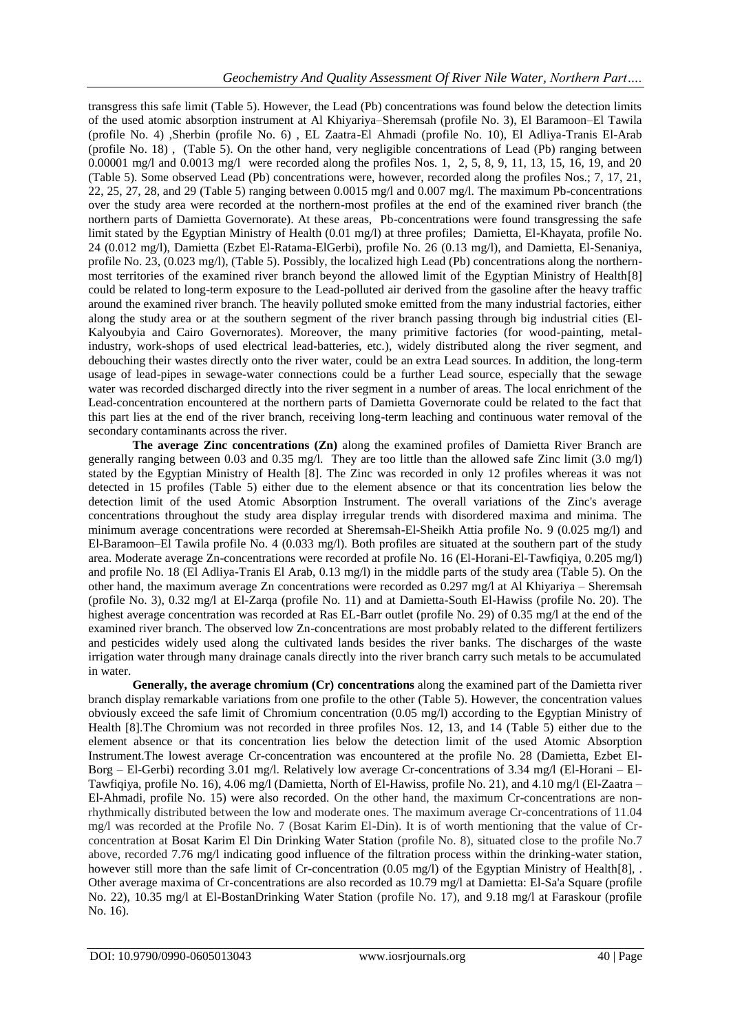transgress this safe limit (Table 5). However, the Lead (Pb) concentrations was found below the detection limits of the used atomic absorption instrument at Al Khiyariya–Sheremsah (profile No. 3), El Baramoon–El Tawila (profile No. 4) ,Sherbin (profile No. 6) , EL Zaatra-El Ahmadi (profile No. 10), El Adliya-Tranis El-Arab (profile No. 18) , (Table 5). On the other hand, very negligible concentrations of Lead (Pb) ranging between 0.00001 mg/l and 0.0013 mg/l were recorded along the profiles Nos. 1, 2, 5, 8, 9, 11, 13, 15, 16, 19, and 20 (Table 5). Some observed Lead (Pb) concentrations were, however, recorded along the profiles Nos.; 7, 17, 21, 22, 25, 27, 28, and 29 (Table 5) ranging between 0.0015 mg/l and 0.007 mg/l. The maximum Pb-concentrations over the study area were recorded at the northern-most profiles at the end of the examined river branch (the northern parts of Damietta Governorate). At these areas, Pb-concentrations were found transgressing the safe limit stated by the Egyptian Ministry of Health (0.01 mg/l) at three profiles; Damietta, El-Khayata, profile No. 24 (0.012 mg/l), Damietta (Ezbet El-Ratama-ElGerbi), profile No. 26 (0.13 mg/l), and Damietta, El-Senaniya, profile No. 23, (0.023 mg/l), (Table 5). Possibly, the localized high Lead (Pb) concentrations along the northernmost territories of the examined river branch beyond the allowed limit of the Egyptian Ministry of Health[8] could be related to long-term exposure to the Lead-polluted air derived from the gasoline after the heavy traffic around the examined river branch. The heavily polluted smoke emitted from the many industrial factories, either along the study area or at the southern segment of the river branch passing through big industrial cities (El-Kalyoubyia and Cairo Governorates). Moreover, the many primitive factories (for wood-painting, metalindustry, work-shops of used electrical lead-batteries, etc.), widely distributed along the river segment, and debouching their wastes directly onto the river water, could be an extra Lead sources. In addition, the long-term usage of lead-pipes in sewage-water connections could be a further Lead source, especially that the sewage water was recorded discharged directly into the river segment in a number of areas. The local enrichment of the Lead-concentration encountered at the northern parts of Damietta Governorate could be related to the fact that this part lies at the end of the river branch, receiving long-term leaching and continuous water removal of the secondary contaminants across the river.

**The average Zinc concentrations (Zn)** along the examined profiles of Damietta River Branch are generally ranging between 0.03 and 0.35 mg/l. They are too little than the allowed safe Zinc limit (3.0 mg/l) stated by the Egyptian Ministry of Health [8]. The Zinc was recorded in only 12 profiles whereas it was not detected in 15 profiles (Table 5) either due to the element absence or that its concentration lies below the detection limit of the used Atomic Absorption Instrument. The overall variations of the Zinc's average concentrations throughout the study area display irregular trends with disordered maxima and minima. The minimum average concentrations were recorded at Sheremsah-El-Sheikh Attia profile No. 9 (0.025 mg/l) and El-Baramoon–El Tawila profile No. 4 (0.033 mg/l). Both profiles are situated at the southern part of the study area. Moderate average Zn-concentrations were recorded at profile No. 16 (El-Horani-El-Tawfiqiya, 0.205 mg/l) and profile No. 18 (El Adliya-Tranis El Arab, 0.13 mg/l) in the middle parts of the study area (Table 5). On the other hand, the maximum average Zn concentrations were recorded as 0.297 mg/l at Al Khiyariya – Sheremsah (profile No. 3), 0.32 mg/l at El-Zarqa (profile No. 11) and at Damietta-South El-Hawiss (profile No. 20). The highest average concentration was recorded at Ras EL-Barr outlet (profile No. 29) of 0.35 mg/l at the end of the examined river branch. The observed low Zn-concentrations are most probably related to the different fertilizers and pesticides widely used along the cultivated lands besides the river banks. The discharges of the waste irrigation water through many drainage canals directly into the river branch carry such metals to be accumulated in water.

**Generally, the average chromium (Cr) concentrations** along the examined part of the Damietta river branch display remarkable variations from one profile to the other (Table 5). However, the concentration values obviously exceed the safe limit of Chromium concentration (0.05 mg/l) according to the Egyptian Ministry of Health [8].The Chromium was not recorded in three profiles Nos. 12, 13, and 14 (Table 5) either due to the element absence or that its concentration lies below the detection limit of the used Atomic Absorption Instrument.The lowest average Cr-concentration was encountered at the profile No. 28 (Damietta, Ezbet El-Borg – El-Gerbi) recording 3.01 mg/l. Relatively low average Cr-concentrations of 3.34 mg/l (El-Horani – El-Tawfiqiya, profile No. 16), 4.06 mg/l (Damietta, North of El-Hawiss, profile No. 21), and 4.10 mg/l (El-Zaatra – El-Ahmadi, profile No. 15) were also recorded. On the other hand, the maximum Cr-concentrations are nonrhythmically distributed between the low and moderate ones. The maximum average Cr-concentrations of 11.04 mg/l was recorded at the Profile No. 7 (Bosat Karim El-Din). It is of worth mentioning that the value of Crconcentration at Bosat Karim El Din Drinking Water Station (profile No. 8), situated close to the profile No.7 above, recorded 7.76 mg/l indicating good influence of the filtration process within the drinking-water station, however still more than the safe limit of Cr-concentration (0.05 mg/l) of the Egyptian Ministry of Health[8], . Other average maxima of Cr-concentrations are also recorded as 10.79 mg/l at Damietta: El-Sa'a Square (profile No. 22), 10.35 mg/l at El-BostanDrinking Water Station (profile No. 17), and 9.18 mg/l at Faraskour (profile No. 16).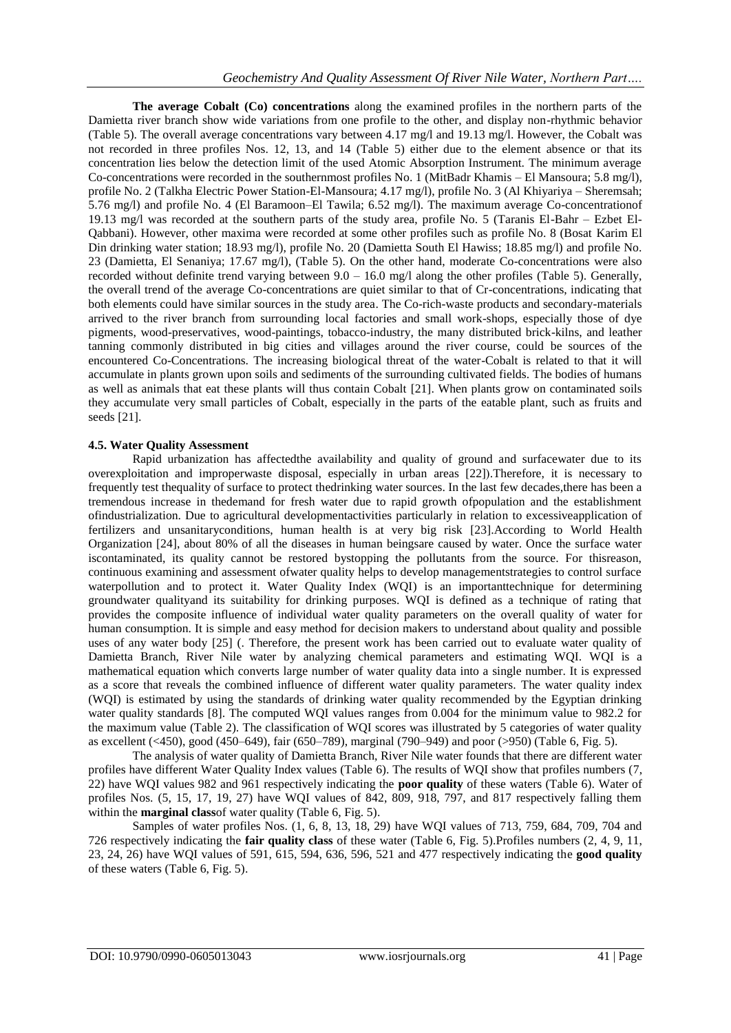**The average Cobalt (Co) concentrations** along the examined profiles in the northern parts of the Damietta river branch show wide variations from one profile to the other, and display non-rhythmic behavior (Table 5). The overall average concentrations vary between 4.17 mg/l and 19.13 mg/l. However, the Cobalt was not recorded in three profiles Nos. 12, 13, and 14 (Table 5) either due to the element absence or that its concentration lies below the detection limit of the used Atomic Absorption Instrument. The minimum average Co-concentrations were recorded in the southernmost profiles No. 1 (MitBadr Khamis – El Mansoura; 5.8 mg/l), profile No. 2 (Talkha Electric Power Station-El-Mansoura; 4.17 mg/l), profile No. 3 (Al Khiyariya – Sheremsah; 5.76 mg/l) and profile No. 4 (El Baramoon–El Tawila; 6.52 mg/l). The maximum average Co-concentrationof 19.13 mg/l was recorded at the southern parts of the study area, profile No. 5 (Taranis El-Bahr – Ezbet El-Qabbani). However, other maxima were recorded at some other profiles such as profile No. 8 (Bosat Karim El Din drinking water station; 18.93 mg/l), profile No. 20 (Damietta South El Hawiss; 18.85 mg/l) and profile No. 23 (Damietta, El Senaniya; 17.67 mg/l), (Table 5). On the other hand, moderate Co-concentrations were also recorded without definite trend varying between 9.0 – 16.0 mg/l along the other profiles (Table 5). Generally, the overall trend of the average Co-concentrations are quiet similar to that of Cr-concentrations, indicating that both elements could have similar sources in the study area. The Co-rich-waste products and secondary-materials arrived to the river branch from surrounding local factories and small work-shops, especially those of dye pigments, wood-preservatives, wood-paintings, tobacco-industry, the many distributed brick-kilns, and leather tanning commonly distributed in big cities and villages around the river course, could be sources of the encountered Co-Concentrations. The increasing biological threat of the water-Cobalt is related to that it will accumulate in plants grown upon soils and sediments of the surrounding cultivated fields. The bodies of humans as well as animals that eat these plants will thus contain Cobalt [21]. When plants grow on contaminated soils they accumulate very small particles of Cobalt, especially in the parts of the eatable plant, such as fruits and seeds [21].

#### **4.5. Water Quality Assessment**

Rapid urbanization has affectedthe availability and quality of ground and surfacewater due to its overexploitation and improperwaste disposal, especially in urban areas [22]). Therefore, it is necessary to frequently test thequality of surface to protect thedrinking water sources. In the last few decades,there has been a tremendous increase in thedemand for fresh water due to rapid growth ofpopulation and the establishment ofindustrialization. Due to agricultural developmentactivities particularly in relation to excessiveapplication of fertilizers and unsanitaryconditions, human health is at very big risk [23].According to World Health Organization [24], about 80% of all the diseases in human beingsare caused by water. Once the surface water iscontaminated, its quality cannot be restored bystopping the pollutants from the source. For thisreason, continuous examining and assessment ofwater quality helps to develop managementstrategies to control surface waterpollution and to protect it. Water Quality Index (WQI) is an importanttechnique for determining groundwater qualityand its suitability for drinking purposes. WQI is defined as a technique of rating that provides the composite influence of individual water quality parameters on the overall quality of water for human consumption. It is simple and easy method for decision makers to understand about quality and possible uses of any water body [25] (. Therefore, the present work has been carried out to evaluate water quality of Damietta Branch, River Nile water by analyzing chemical parameters and estimating WQI. WQI is a mathematical equation which converts large number of water quality data into a single number. It is expressed as a score that reveals the combined influence of different water quality parameters. The water quality index (WQI) is estimated by using the standards of drinking water quality recommended by the Egyptian drinking water quality standards [8]. The computed WQI values ranges from 0.004 for the minimum value to 982.2 for the maximum value (Table 2). The classification of WQI scores was illustrated by 5 categories of water quality as excellent (<450), good (450–649), fair (650–789), marginal (790–949) and poor (>950) (Table 6, Fig. 5).

The analysis of water quality of Damietta Branch, River Nile water founds that there are different water profiles have different Water Quality Index values (Table 6). The results of WQI show that profiles numbers (7, 22) have WQI values 982 and 961 respectively indicating the **poor quality** of these waters (Table 6). Water of profiles Nos. (5, 15, 17, 19, 27) have WQI values of 842, 809, 918, 797, and 817 respectively falling them within the **marginal class**of water quality (Table 6, Fig. 5).

Samples of water profiles Nos. (1, 6, 8, 13, 18, 29) have WQI values of 713, 759, 684, 709, 704 and 726 respectively indicating the **fair quality class** of these water (Table 6, Fig. 5).Profiles numbers (2, 4, 9, 11, 23, 24, 26) have WQI values of 591, 615, 594, 636, 596, 521 and 477 respectively indicating the **good quality** of these waters (Table 6, Fig. 5).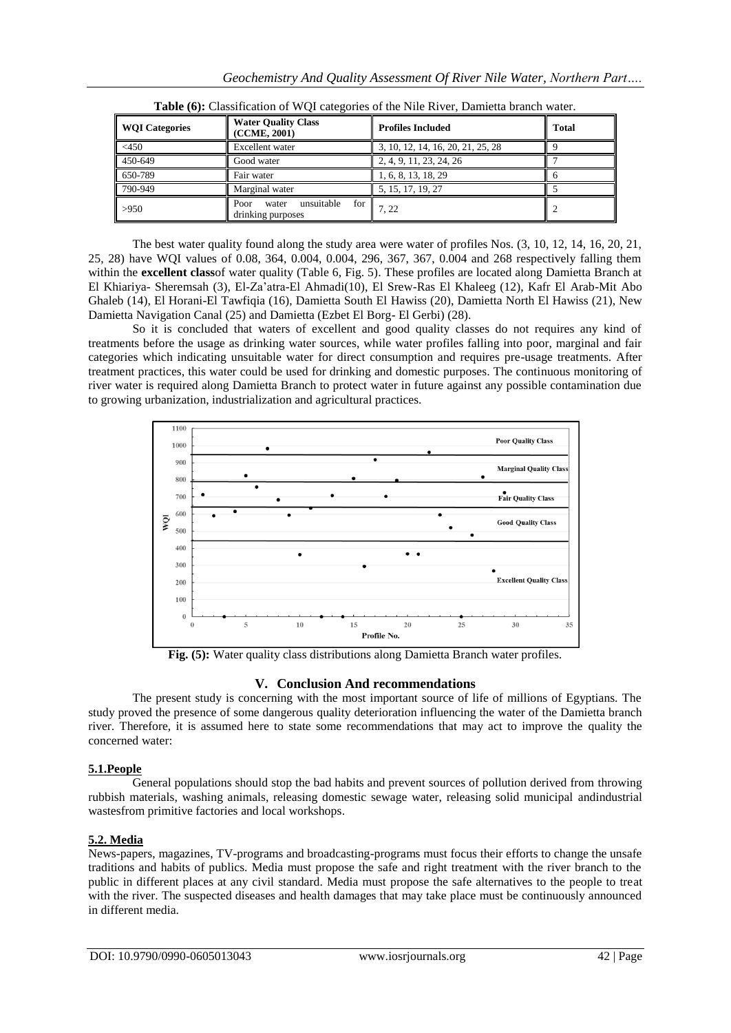| <b>WQI Categories</b> | <b>Water Quality Class</b><br>(CCME, 2001)              | <b>Profiles Included</b>          | <b>Total</b> |
|-----------------------|---------------------------------------------------------|-----------------------------------|--------------|
| $<$ 450               | <b>Excellent</b> water                                  | 3, 10, 12, 14, 16, 20, 21, 25, 28 |              |
| 450-649               | Good water                                              | 2, 4, 9, 11, 23, 24, 26           |              |
| 650-789               | Fair water                                              | 1, 6, 8, 13, 18, 29               |              |
| 790-949               | Marginal water                                          | 5, 15, 17, 19, 27                 |              |
| >950                  | for<br>unsuitable<br>Poor<br>water<br>drinking purposes | $^{\prime}$ . 22                  |              |

**Table (6):** Classification of WQI categories of the Nile River, Damietta branch water.

The best water quality found along the study area were water of profiles Nos. (3, 10, 12, 14, 16, 20, 21, 25, 28) have WQI values of 0.08, 364, 0.004, 0.004, 296, 367, 367, 0.004 and 268 respectively falling them within the **excellent class**of water quality (Table 6, Fig. 5). These profiles are located along Damietta Branch at El Khiariya- Sheremsah (3), El-Za'atra-El Ahmadi(10), El Srew-Ras El Khaleeg (12), Kafr El Arab-Mit Abo Ghaleb (14), El Horani-El Tawfiqia (16), Damietta South El Hawiss (20), Damietta North El Hawiss (21), New Damietta Navigation Canal (25) and Damietta (Ezbet El Borg- El Gerbi) (28).

So it is concluded that waters of excellent and good quality classes do not requires any kind of treatments before the usage as drinking water sources, while water profiles falling into poor, marginal and fair categories which indicating unsuitable water for direct consumption and requires pre-usage treatments. After treatment practices, this water could be used for drinking and domestic purposes. The continuous monitoring of river water is required along Damietta Branch to protect water in future against any possible contamination due to growing urbanization, industrialization and agricultural practices.



**Fig. (5):** Water quality class distributions along Damietta Branch water profiles.

# **V. Conclusion And recommendations**

The present study is concerning with the most important source of life of millions of Egyptians. The study proved the presence of some dangerous quality deterioration influencing the water of the Damietta branch river. Therefore, it is assumed here to state some recommendations that may act to improve the quality the concerned water:

# **5.1.People**

General populations should stop the bad habits and prevent sources of pollution derived from throwing rubbish materials, washing animals, releasing domestic sewage water, releasing solid municipal andindustrial wastesfrom primitive factories and local workshops.

# **5.2. Media**

News-papers, magazines, TV-programs and broadcasting-programs must focus their efforts to change the unsafe traditions and habits of publics. Media must propose the safe and right treatment with the river branch to the public in different places at any civil standard. Media must propose the safe alternatives to the people to treat with the river. The suspected diseases and health damages that may take place must be continuously announced in different media.